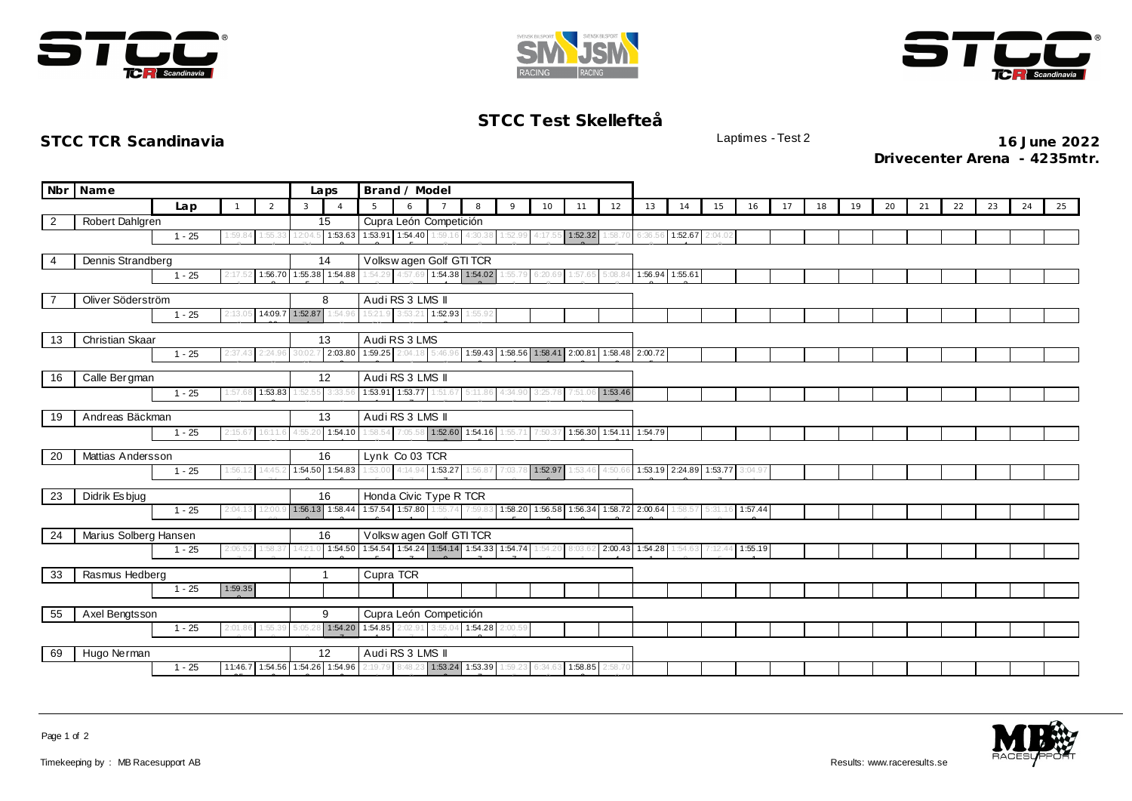





## **STCC Test Skellefteå**

**STCC TCR Scandinavia** Laptimes - Test 2 **16 June 2022 Drivecenter Arena - 4235mtr.**

|    | Nbr Name                                       | Laps     | Brand / Model |                         |         |                         |                        |                         |                 |                                |                                                                                                                 |         |                 |         |                         |                                        |         |         |    |    |    |    |    |    |    |    |    |
|----|------------------------------------------------|----------|---------------|-------------------------|---------|-------------------------|------------------------|-------------------------|-----------------|--------------------------------|-----------------------------------------------------------------------------------------------------------------|---------|-----------------|---------|-------------------------|----------------------------------------|---------|---------|----|----|----|----|----|----|----|----|----|
|    |                                                | Lap      |               | 2                       | 3       | $\overline{4}$          | $5^{\circ}$            | 6                       |                 | 8                              | $\circ$                                                                                                         | 10      | 11              | 12      | 13                      | 14                                     | 15      | 16      | 17 | 18 | 19 | 20 | 21 | 22 | 23 | 24 | 25 |
| 2  | Robert Dahlgren                                |          |               |                         |         | 15                      |                        | Cupra León Competición  |                 |                                |                                                                                                                 |         |                 |         |                         |                                        |         |         |    |    |    |    |    |    |    |    |    |
|    |                                                | $1 - 25$ | 1:59.84       | 1:55.3                  | 12:04.5 | 1:53.63                 |                        | 1:53.91 1:54.40 1:59.16 |                 | 4:30.38                        | 1:52.99                                                                                                         | 4:17.55 | 1:52.32         |         |                         | 1:58.70 6:36.56 1:52.67                | 2:04.02 |         |    |    |    |    |    |    |    |    |    |
| 4  | Dennis Strandberg                              |          | 14            | Volkswagen Golf GTI TCR |         |                         |                        |                         |                 |                                |                                                                                                                 |         |                 |         |                         |                                        |         |         |    |    |    |    |    |    |    |    |    |
|    | 1:56.70 1:55.38 1:54.88<br>$1 - 25$<br>2:17.52 |          |               |                         |         |                         |                        |                         |                 |                                | 1:54.29 4:57.69 1:54.38 1:54.02 1:55.79                                                                         | 6:20.69 | 1:57.65         |         | 5:08.84 1:56.94 1:55.61 |                                        |         |         |    |    |    |    |    |    |    |    |    |
|    |                                                |          |               |                         |         |                         |                        |                         |                 |                                |                                                                                                                 |         |                 |         |                         |                                        |         |         |    |    |    |    |    |    |    |    |    |
|    | Oliver Söderström                              |          |               |                         |         | 8                       |                        | Audi RS 3 LMS II        |                 |                                |                                                                                                                 |         |                 |         |                         |                                        |         |         |    |    |    |    |    |    |    |    |    |
|    |                                                | $1 - 25$ | 2:13.0        | 14:09.7 1:52.87         |         | 1:54.9                  |                        | 15:21.9 3:53.21 1:52.93 |                 | 1:55.92                        |                                                                                                                 |         |                 |         |                         |                                        |         |         |    |    |    |    |    |    |    |    |    |
| 13 | <b>Christian Skaar</b>                         |          |               |                         |         | 13                      |                        | Audi RS 3 LMS           |                 |                                |                                                                                                                 |         |                 |         |                         |                                        |         |         |    |    |    |    |    |    |    |    |    |
|    |                                                | $1 - 25$ | 2:37.43       | 2:24.96                 | 30:02.  | 2:03.80                 |                        | 1:59.25 2:04.18 5:46.96 |                 |                                | 1:59.43 1:58.56 1:58.41 2:00.81                                                                                 |         |                 |         | 1:58.48 2:00.72         |                                        |         |         |    |    |    |    |    |    |    |    |    |
|    |                                                |          |               |                         |         |                         |                        |                         |                 |                                |                                                                                                                 |         |                 |         |                         |                                        |         |         |    |    |    |    |    |    |    |    |    |
| 16 | Calle Bergman                                  |          |               |                         |         | 12                      |                        | Audi RS 3 LMS II        |                 |                                |                                                                                                                 |         |                 |         |                         |                                        |         |         |    |    |    |    |    |    |    |    |    |
|    |                                                | $1 - 25$ | 1:57.68       | 1:53.83                 | 1:52.5  | 3:33.                   |                        | 1:53.91 1:53.77 1:51.67 |                 | 5:11.86                        | 4:34.90                                                                                                         | 3:25.78 | 7:51.06         | 1:53.46 |                         |                                        |         |         |    |    |    |    |    |    |    |    |    |
| 19 | Andreas Bäckman<br>13                          |          |               |                         |         |                         |                        | Audi RS 3 LMS II        |                 |                                |                                                                                                                 |         |                 |         |                         |                                        |         |         |    |    |    |    |    |    |    |    |    |
|    |                                                | $1 - 25$ | 2:15.6        | 16:11.6                 |         | 1:54.10                 | 1:58.54                |                         |                 | 7:05.58 1:52.60 1:54.16 1:55.7 |                                                                                                                 | 7:50.37 |                 |         | 1:56.30 1:54.11 1:54.79 |                                        |         |         |    |    |    |    |    |    |    |    |    |
|    |                                                |          |               |                         |         |                         |                        |                         |                 |                                |                                                                                                                 |         |                 |         |                         |                                        |         |         |    |    |    |    |    |    |    |    |    |
| 20 | Mattias Andersson                              |          |               |                         |         | 16                      |                        | Lynk Co 03 TCR          |                 |                                |                                                                                                                 |         |                 |         |                         |                                        |         |         |    |    |    |    |    |    |    |    |    |
|    |                                                | $1 - 25$ | 1:56.1        | 14:45                   |         | 1:54.50 1:54.83         | 1:53.00                |                         | 4:14.94 1:53.27 | 1:56.87                        | 7:03.78                                                                                                         |         | 1:52.97 1:53.46 |         |                         | 4:50.66 1:53.19 2:24.89 1:53.77 3:04.9 |         |         |    |    |    |    |    |    |    |    |    |
| 23 | Didrik Es bjug                                 |          |               |                         |         | 16                      |                        | Honda Civic Type R TCR  |                 |                                |                                                                                                                 |         |                 |         |                         |                                        |         |         |    |    |    |    |    |    |    |    |    |
|    |                                                | $1 - 25$ | 2:04.13       | 12:00.                  |         |                         |                        |                         |                 |                                | 1:56.13 1:58.44 1:57.54 1:57.80 1:55.74 7:59.83 1:58.20 1:56.58 1:56.34 1:58.72 2:00.64 1:58.57 5:31.16 1:57.44 |         |                 |         |                         |                                        |         |         |    |    |    |    |    |    |    |    |    |
|    |                                                |          |               |                         |         |                         |                        |                         |                 |                                |                                                                                                                 |         |                 |         |                         |                                        |         |         |    |    |    |    |    |    |    |    |    |
| 24 | Marius Solberg Hansen                          |          |               |                         |         | 16                      |                        | Volkswagen Golf GTI TCR |                 |                                |                                                                                                                 |         |                 |         |                         |                                        |         |         |    |    |    |    |    |    |    |    |    |
|    |                                                | $1 - 25$ | 2:06.52       | 1:58.37                 | 14:21.  | 1:54.50                 |                        |                         |                 |                                | 1:54.54 1:54.24 1:54.14 1:54.33 1:54.74 1:54.20                                                                 |         | 8:03.62         |         | 2:00.43 1:54.28         | 1:54.63                                | 7:12.44 | 1:55.19 |    |    |    |    |    |    |    |    |    |
| 33 | Rasmus Hedberg                                 |          |               |                         |         |                         | Cupra TCR              |                         |                 |                                |                                                                                                                 |         |                 |         |                         |                                        |         |         |    |    |    |    |    |    |    |    |    |
|    |                                                | $1 - 25$ | 1:59.35       |                         |         |                         |                        |                         |                 |                                |                                                                                                                 |         |                 |         |                         |                                        |         |         |    |    |    |    |    |    |    |    |    |
|    |                                                |          |               |                         |         |                         |                        |                         |                 |                                |                                                                                                                 |         |                 |         |                         |                                        |         |         |    |    |    |    |    |    |    |    |    |
| 55 | 9<br>Axel Bengtsson                            |          |               |                         |         |                         | Cupra León Competición |                         |                 |                                |                                                                                                                 |         |                 |         |                         |                                        |         |         |    |    |    |    |    |    |    |    |    |
|    |                                                | $1 - 25$ | 2:01.86       | 1:55.3                  | 5:05.2  | 1:54.20                 |                        | 1:54.85 2:02.91 3:55.04 |                 | 1:54.28 2:00.59                |                                                                                                                 |         |                 |         |                         |                                        |         |         |    |    |    |    |    |    |    |    |    |
| 69 | Hugo Nerman                                    |          |               |                         |         | 12                      |                        | Audi RS 3 LMS II        |                 |                                |                                                                                                                 |         |                 |         |                         |                                        |         |         |    |    |    |    |    |    |    |    |    |
|    |                                                | $1 - 25$ | 11:46.7       |                         |         | 1:54.56 1:54.26 1:54.96 | 2:19.79                | 8:48.2                  | 1:53.24         | 1:53.39                        | 1:59.20                                                                                                         | 6:34.60 | 1:58.85         | 2:58.70 |                         |                                        |         |         |    |    |    |    |    |    |    |    |    |
|    |                                                |          |               |                         |         |                         |                        |                         |                 |                                |                                                                                                                 |         |                 |         |                         |                                        |         |         |    |    |    |    |    |    |    |    |    |